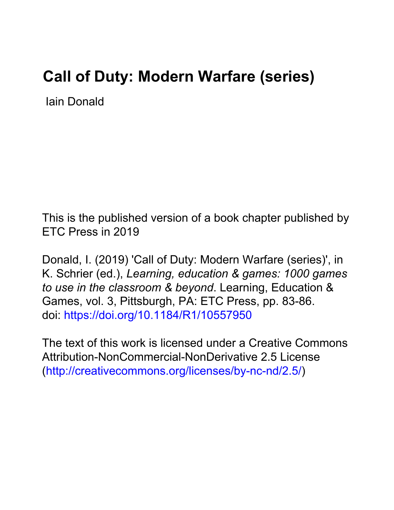# **Call of Duty: Modern Warfare (series)**

Iain Donald

This is the published version of a book chapter published by ETC Press in 2019

Donald, I. (2019) 'Call of Duty: Modern Warfare (series)', in K. Schrier (ed.), *Learning, education & games: 1000 games to use in the classroom & beyond*. Learning, Education & Games, vol. 3, Pittsburgh, PA: ETC Press, pp. 83-86. doi:<https://doi.org/10.1184/R1/10557950>

The text of this work is licensed under a Creative Commons Attribution-NonCommercial-NonDerivative 2.5 License [\(http://creativecommons.org/licenses/by-nc-nd/2.5/\)](http://creativecommons.org/licenses/by-nc-nd/2.5/)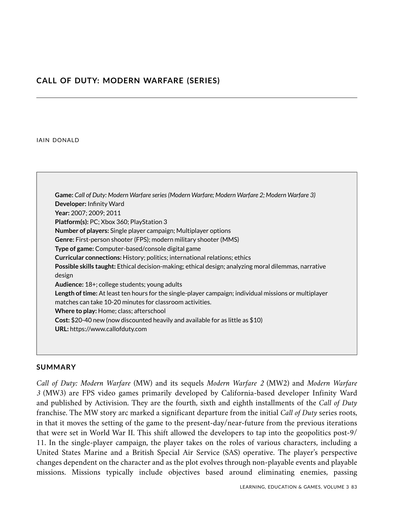# **CALL OF DUTY: MODERN WARFARE (SERIES)**

#### IAIN DONALD

**Game:** *Call of Duty: Modern Warfare series (Modern Warfare; Modern Warfare 2; Modern Warfare 3)* **Developer:** Infinity Ward **Year:** 2007; 2009; 2011 **Platform(s):** PC; Xbox 360; PlayStation 3 **Number of players:** Single player campaign; Multiplayer options **Genre:** First-person shooter (FPS); modern military shooter (MMS) **Type of game:** Computer-based/console digital game **Curricular connections:** History; politics; international relations; ethics **Possible skills taught:** Ethical decision-making; ethical design; analyzing moral dilemmas, narrative design **Audience:** 18+; college students; young adults **Length of time:** At least ten hours for the single-player campaign; individual missions or multiplayer matches can take 10-20 minutes for classroom activities. **Where to play:** Home; class; afterschool **Cost:** \$20-40 new (now discounted heavily and available for as little as \$10) **URL:** https://www.callofduty.com

#### **SUMMARY**

*Call of Duty: Modern Warfare* (MW) and its sequels *Modern Warfare 2* (MW2) and *Modern Warfare 3* (MW3) are FPS video games primarily developed by California-based developer Infinity Ward and published by Activision. They are the fourth, sixth and eighth installments of the *Call of Duty* franchise. The MW story arc marked a significant departure from the initial *Call of Duty* series roots, in that it moves the setting of the game to the present-day/near-future from the previous iterations that were set in World War II. This shift allowed the developers to tap into the geopolitics post-9/ 11. In the single-player campaign, the player takes on the roles of various characters, including a United States Marine and a British Special Air Service (SAS) operative. The player's perspective changes dependent on the character and as the plot evolves through non-playable events and playable missions. Missions typically include objectives based around eliminating enemies, passing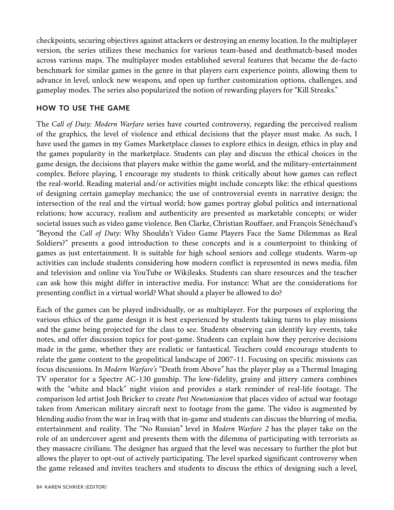checkpoints, securing objectives against attackers or destroying an enemy location. In the multiplayer version, the series utilizes these mechanics for various team-based and deathmatch-based modes across various maps. The multiplayer modes established several features that became the de-facto benchmark for similar games in the genre in that players earn experience points, allowing them to advance in level, unlock new weapons, and open up further customization options, challenges, and gameplay modes. The series also popularized the notion of rewarding players for "Kill Streaks."

### **HOW TO USE THE GAME**

The *Call of Duty: Modern Warfare* series have courted controversy, regarding the perceived realism of the graphics, the level of violence and ethical decisions that the player must make. As such, I have used the games in my Games Marketplace classes to explore ethics in design, ethics in play and the games popularity in the marketplace. Students can play and discuss the ethical choices in the game design, the decisions that players make within the game world, and the military-entertainment complex. Before playing, I encourage my students to think critically about how games can reflect the real-world. Reading material and/or activities might include concepts like: the ethical questions of designing certain gameplay mechanics; the use of controversial events in narrative design; the intersection of the real and the virtual world; how games portray global politics and international relations; how accuracy, realism and authenticity are presented as marketable concepts; or wider societal issues such as video game violence. Ben Clarke, Christian Rouffaer, and François Sénéchaud's "Beyond the *Call of Duty*: Why Shouldn't Video Game Players Face the Same Dilemmas as Real Soldiers?" presents a good introduction to these concepts and is a counterpoint to thinking of games as just entertainment. It is suitable for high school seniors and college students. Warm-up activities can include students considering how modern conflict is represented in news media, film and television and online via YouTube or Wikileaks. Students can share resources and the teacher can ask how this might differ in interactive media. For instance: What are the considerations for presenting conflict in a virtual world? What should a player be allowed to do?

Each of the games can be played individually, or as multiplayer. For the purposes of exploring the various ethics of the game design it is best experienced by students taking turns to play missions and the game being projected for the class to see. Students observing can identify key events, take notes, and offer discussion topics for post-game. Students can explain how they perceive decisions made in the game, whether they are realistic or fantastical. Teachers could encourage students to relate the game content to the geopolitical landscape of 2007-11. Focusing on specific missions can focus discussions. In *Modern Warfare's* "Death from Above" has the player play as a Thermal Imaging TV operator for a Spectre AC-130 gunship. The low-fidelity, grainy and jittery camera combines with the "white and black" night vision and provides a stark reminder of real-life footage. The comparison led artist Josh Bricker to create *Post Newtonianism* that places video of actual war footage taken from American military aircraft next to footage from the game. The video is augmented by blending audio from the war in Iraq with that in-game and students can discuss the blurring of media, entertainment and reality. The "No Russian" level in *Modern Warfare 2* has the player take on the role of an undercover agent and presents them with the dilemma of participating with terrorists as they massacre civilians. The designer has argued that the level was necessary to further the plot but allows the player to opt-out of actively participating. The level sparked significant controversy when the game released and invites teachers and students to discuss the ethics of designing such a level,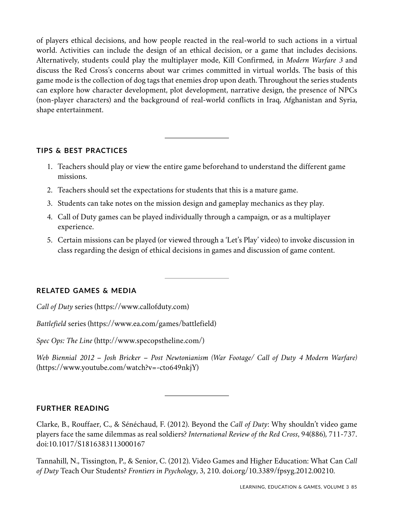of players ethical decisions, and how people reacted in the real-world to such actions in a virtual world. Activities can include the design of an ethical decision, or a game that includes decisions. Alternatively, students could play the multiplayer mode, Kill Confirmed, in *Modern Warfare 3* and discuss the Red Cross's concerns about war crimes committed in virtual worlds. The basis of this game mode is the collection of dog tags that enemies drop upon death. Throughout the series students can explore how character development, plot development, narrative design, the presence of NPCs (non-player characters) and the background of real-world conflicts in Iraq, Afghanistan and Syria, shape entertainment.

## **TIPS & BEST PRACTICES**

- 1. Teachers should play or view the entire game beforehand to understand the different game missions.
- 2. Teachers should set the expectations for students that this is a mature game.
- 3. Students can take notes on the mission design and gameplay mechanics as they play.
- 4. Call of Duty games can be played individually through a campaign, or as a multiplayer experience.
- 5. Certain missions can be played (or viewed through a 'Let's Play' video) to invoke discussion in class regarding the design of ethical decisions in games and discussion of game content.

# **RELATED GAMES & MEDIA**

*Call of Duty* series (https://www.callofduty.com)

*Battlefield* series (https://www.ea.com/games/battlefield)

*Spec Ops: The Line* (http://www.specopstheline.com/)

*Web Biennial 2012 – Josh Bricker – Post Newtonianism (War Footage/ Call of Duty 4 Modern Warfare)* (https://www.youtube.com/watch?v=-cto649nkjY)

# **FURTHER READING**

Clarke, B., Rouffaer, C., & Sénéchaud, F. (2012). Beyond the *Call of Duty*: Why shouldn't video game players face the same dilemmas as real soldiers? *International Review of the Red Cross*, 94(886), 711-737. doi:10.1017/S1816383113000167

Tannahill, N., Tissington, P., & Senior, C. (2012). Video Games and Higher Education: What Can *Call of Duty* Teach Our Students? *Frontiers in Psychology*, 3, 210. doi.org/10.3389/fpsyg.2012.00210.